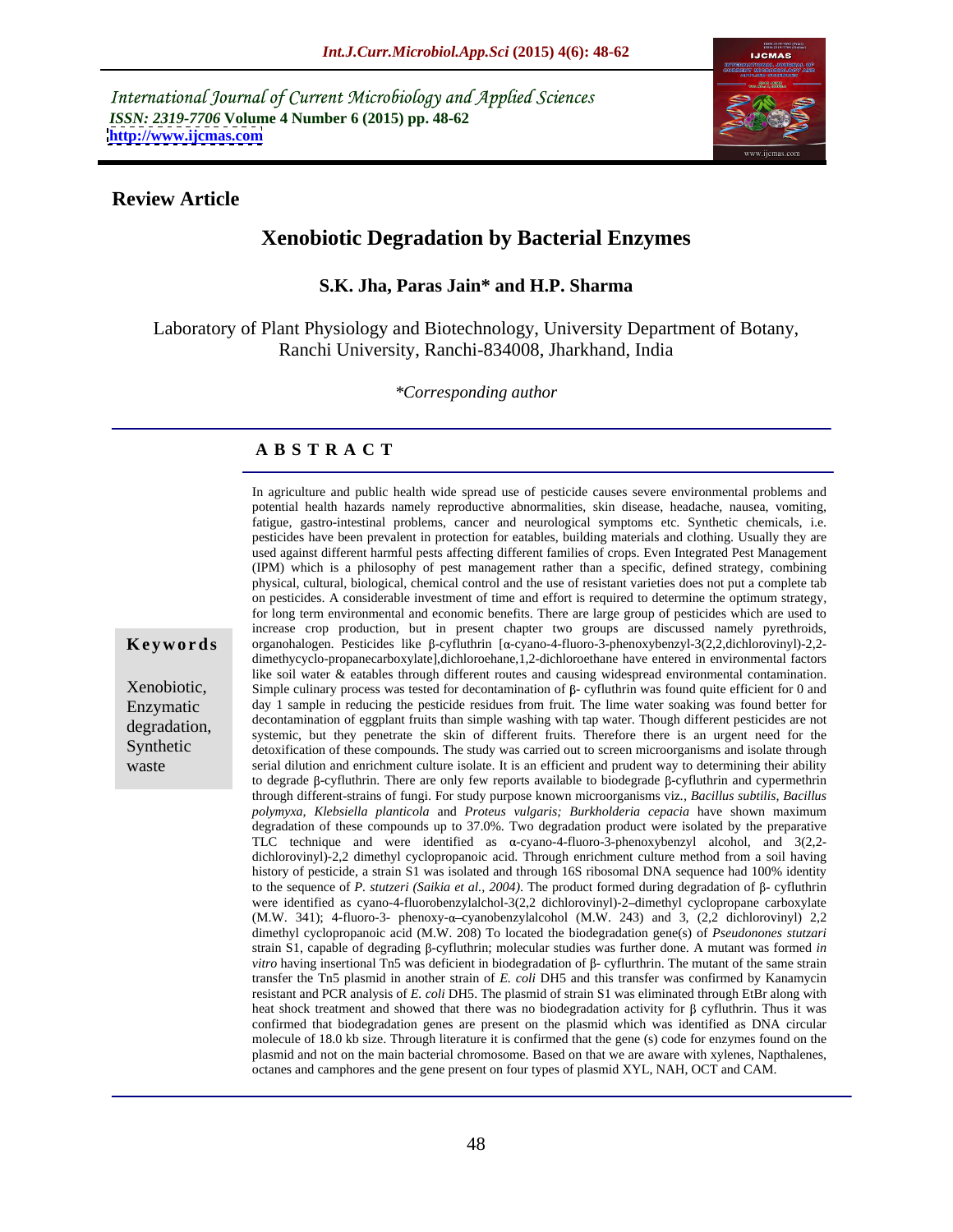International Journal of Current Microbiology and Applied Sciences *ISSN: 2319-7706* **Volume 4 Number 6 (2015) pp. 48-62 <http://www.ijcmas.com>**



### **Review Article**

# **Xenobiotic Degradation by Bacterial Enzymes**

### **S.K. Jha, Paras Jain\* and H.P. Sharma**

Laboratory of Plant Physiology and Biotechnology, University Department of Botany, Ranchi University, Ranchi-834008, Jharkhand, India

*\*Corresponding author*

### **A B S T R A C T**

In agriculture and public health wide spread use of pesticide causes severe environmental problems and potential health hazards namely reproductive abnormalities, skin disease, headache, nausea, vomiting,fatigue, gastro-intestinal problems, cancer and neurological symptoms etc. Synthetic chemicals, i.e. pesticides have been prevalent in protection for eatables, building materials and clothing. Usually they are used against different harmful pests affecting different families of crops. Even Integrated Pest Management (IPM) which is a philosophy of pest management rather than a specific, defined strategy, combining physical, cultural, biological, chemical control and the use of resistant varieties does not put a complete tab on pesticides. A considerable investment of time and effort is required to determine the optimum strategy, for long term environmental and economic benefits. There are large group of pesticides which are used to increase crop production, but in present chapter two groups are discussed namely pyrethroids,  $\mathbf{Keywords}$  organohalogen. Pesticides like  $\beta$ -cyfluthrin [ $\alpha$ -cyano-4-fluoro-3-phenoxybenzyl-3(2,2,dichlorovinyl)-2,2dimethycyclo-propanecarboxylate],dichloroehane,1,2-dichloroethane have entered in environmental factors like soil water & eatables through different routes and causing widespread environmental contamination. Xenobiotic, Simple culinary process was tested for decontamination of  $\beta$ - cyfluthrin was found quite efficient for 0 and Enzymatic day 1 sample in reducing the pesticide residues from fruit. The lime water soaking was found better for decontamination of eggplant fruits than simple washing with tap water. Though different pesticides are not degradation, systemic, but they penetrate the skin of different fruits. Therefore there is an urgent need for the Synthetic detoxification of these compounds. The study was carried out to screen microorganisms and isolate through serial dilution and enrichment culture isolate. It is an efficient and prudent way to determining their ability waste to degrade  $\beta$ -cyfluthrin. There are only few reports available to biodegrade  $\beta$ -cyfluthrin and cypermethrin through different-strains of fungi. For study purpose known microorganisms viz*., Bacillus subtilis, Bacillus polymyxa, Klebsiella planticola* and *Proteus vulgaris; Burkholderia cepacia* have shown maximum degradation of these compounds up to 37.0%. Two degradation product were isolated by the preparative TLC technique and were identified as  $\alpha$ -cyano-4-fluoro-3-phenoxybenzyl alcohol, and 3(2,2dichlorovinyl)-2,2 dimethyl cyclopropanoic acid. Through enrichment culture method from a soil having history of pesticide, a strain S1 was isolated and through 16S ribosomal DNA sequence had 100% identity to the sequence of *P. stutzeri* (*Saikia et al., 2004*). The product formed during degradation of  $\beta$ - cyfluthrin were identified as cyano-4-fluorobenzylalchol-3(2,2 dichlorovinyl)-2-dimethyl cyclopropane carboxylate (M.W. 341); 4-fluoro-3- phenoxy- $\alpha$ -cyanobenzylalcohol (M.W. 243) and 3, (2,2 dichlorovinyl) 2,2 dimethyl cyclopropanoic acid (M.W. 208) To located the biodegradation gene(s) of *Pseudonones stutzari* strain S1, capable of degrading  $\beta$ -cyfluthrin; molecular studies was further done. A mutant was formed *in vitro* having insertional Tn5 was deficient in biodegradation of  $\beta$ - cyflurthrin. The mutant of the same strain transfer the Tn5 plasmid in another strain of *E. coli* DH5 and this transfer was confirmed by Kanamycin resistant and PCR analysis of *E. coli* DH5. The plasmid of strain S1 was eliminated through EtBr along with heat shock treatment and showed that there was no biodegradation activity for  $\beta$  cyfluthrin. Thus it was confirmed that biodegradation genes are present on the plasmid which was identified as DNA circular molecule of 18.0 kb size. Through literature it is confirmed that the gene (s) code for enzymes found on the plasmid and not on the main bacterial chromosome. Based on that we are aware with xylenes, Napthalenes, octanes and camphores and the gene present on four types of plasmid XYL, NAH, OCT and CAM.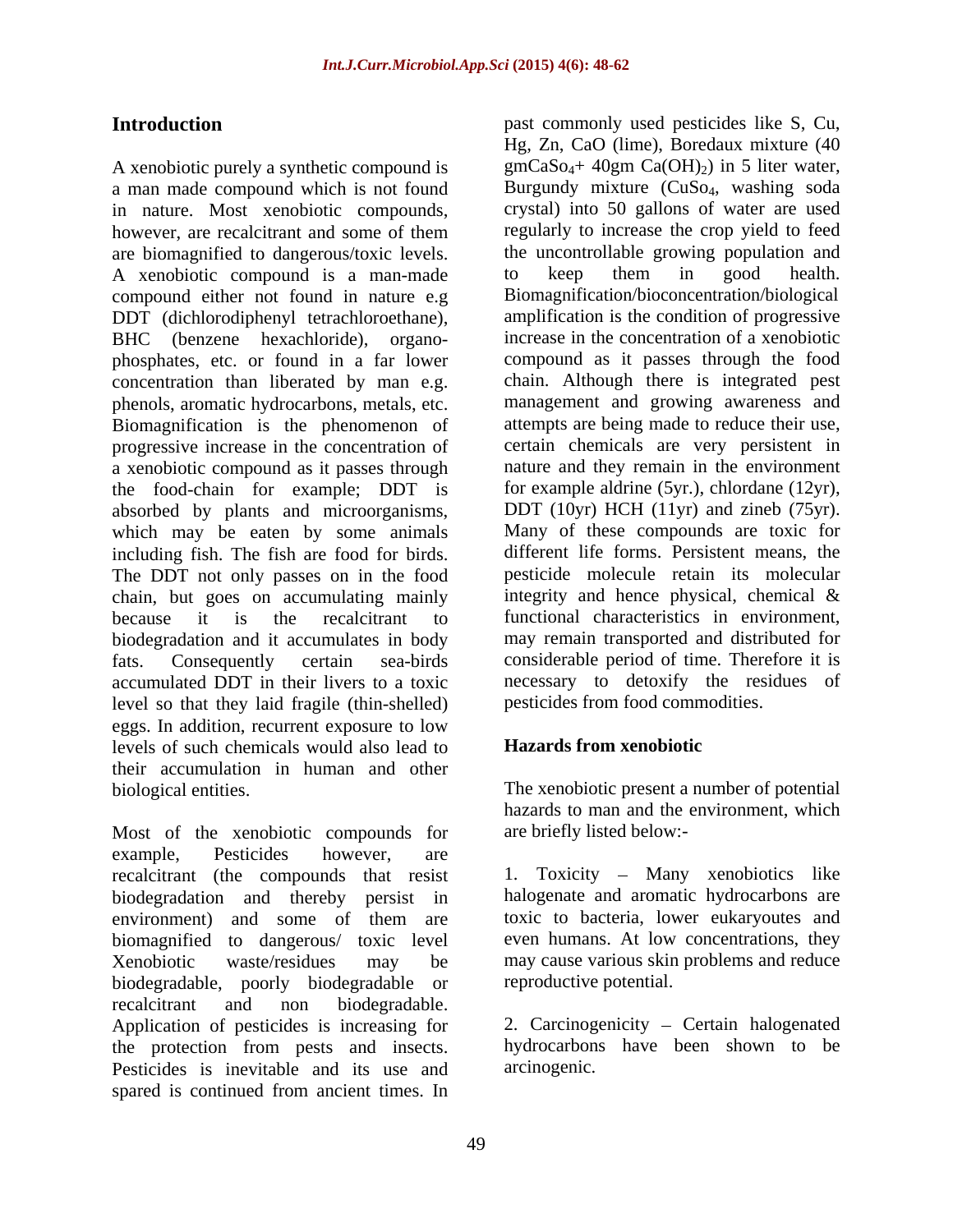A xenobiotic purely a synthetic compound is a man made compound which is not found in nature. Most xenobiotic compounds, however, are recalcitrant and some of them are biomagnified to dangerous/toxic levels. The uncontrollable growing population and A xenobiotic compound is a man-made to keep them in good health. A xenobiotic compound is a man-made compound either not found in nature e.g DDT (dichlorodiphenyl tetrachloroethane), concentration than liberated by man e.g. Biomagnification is the phenomenon of progressive increase in the concentration of a xenobiotic compound as it passes through the food-chain for example; DDT is absorbed by plants and microorganisms, which may be eaten by some animals including fish. The fish are food for birds. The DDT not only passes on in the food chain, but goes on accumulating mainly biodegradation and it accumulates in body accumulated DDT in their livers to a toxic level so that they laid fragile (thin-shelled) eggs. In addition, recurrent exposure to low<br>levels of such chemicals would also lead to **Hazards from xenobiotic** levels of such chemicals would also lead to their accumulation in human and other

Most of the xenobiotic compounds for example, Pesticides however, are recalcitrant (the compounds that resist biodegradation and thereby persist in environment) and some of them are toxic to bacteria, lower eukaryoutes and biomagnified to dangerous/ toxic level Xenobiotic waste/residues may be may cause various skin problems and reduce biodegradable, poorly biodegradable or recalcitrant and non biodegradable. Application of pesticides is increasing for the protection from pests and insects. Pesticides is inevitable and its use and spared is continued from ancient times. In

**Introduction past commonly used pesticides like S, Cu,** BHC (benzene hexachloride), organo- increase in the concentration of a xenobiotic phosphates, etc. or found in a far lower compound as it passes through the food phenols, aromatic hydrocarbons, metals, etc. management and growing awareness and progressive increase in the concentration of certain chemicals are very persistent in because it is the recalcitrant to functional characteristics in environment, fats. Consequently certain sea-birds considerable period of time. Therefore it is Hg, Zn, CaO (lime), Boredaux mixture (40  $gmCaSo<sub>4</sub>+ 40gm Ca(OH)<sub>2</sub>$  in 5 liter water, Burgundy mixture (CuSo<sub>4</sub>, washing soda crystal) into 50 gallons of water are used regularly to increase the crop yield to feed the uncontrollable growing population and to keep them in good health. Biomagnification/bioconcentration/biological amplification is the condition of progressive chain. Although there is integrated pest attempts are being made to reduce their use, nature and they remain in the environment for example aldrine (5yr.), chlordane (12yr), DDT (10yr) HCH (11yr) and zineb (75yr). Many of these compounds are toxic for different life forms. Persistent means, the pesticide molecule retain its molecular integrity and hence physical, chemical & may remain transported and distributed for necessary to detoxify the residues of pesticides from food commodities.

# **Hazards from xenobiotic**

biological entities. The xenobiotic present a number of potential hazards to man and the environment, which are briefly listed below:-

> 1. Toxicity – Many xenobiotics like halogenate and aromatic hydrocarbons are toxic to bacteria, lower eukaryoutes and even humans. At low concentrations, they reproductive potential.

> 2. Carcinogenicity - Certain halogenated hydrocarbons have been shown to be arcinogenic.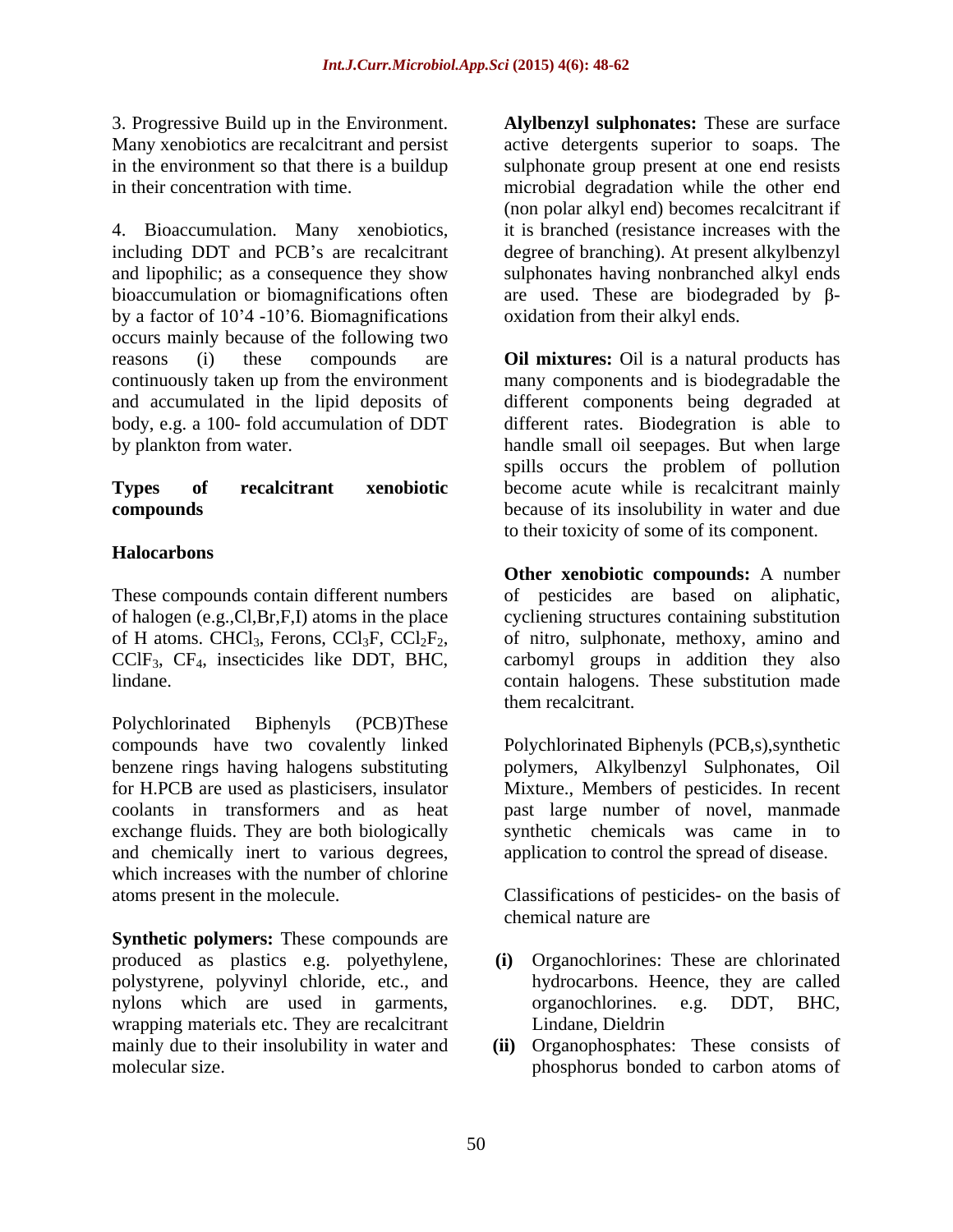4. Bioaccumulation. Many xenobiotics, by a factor of  $10<sup>3</sup>4 - 10<sup>3</sup>6$ . Biomagnifications occurs mainly because of the following two body, e.g. a 100- fold accumulation of DDT

# **Halocarbons**

These compounds contain different numbers of H atoms. CHCl<sub>3</sub>, Ferons, CCl<sub>3</sub>F, CCl<sub>2</sub>F<sub>2</sub>, CClF<sub>3</sub>, CF<sub>4</sub>, insecticides like DDT, BHC,

Polychlorinated Biphenyls (PCB)These exchange fluids. They are both biologically and chemically inert to various degrees, which increases with the number of chlorine atoms present in the molecule. Classifications of pesticides- on the basis of

**Synthetic polymers:** These compounds are produced as plastics e.g. polyethylene, polystyrene, polyvinyl chloride, etc., and nylons which are used in garments, organochlorines. e.g. DDT, BHC, wrapping materials etc. They are recalcitrant

3. Progressive Build up in the Environment. **Alylbenzyl sulphonates:** These are surface Many xenobiotics are recalcitrant and persist active detergents superior to soaps. The in the environment so that there is a buildup sulphonate group present at one end resists in their concentration with time. microbial degradation while the other end including DDT and PCB's are recalcitrant degree of branching). At present alkylbenzyl and lipophilic; as a consequence they show sulphonates having nonbranched alkyl ends bioaccumulation or biomagnifications often are used. These are biodegraded by  $\beta$ -(non polar alkyl end) becomes recalcitrant if it is branched (resistance increases with the oxidation from their alkyl ends.

reasons (i) these compounds are **Oil mixtures:** Oil is a natural products has continuously taken up from the environment many components and is biodegradable the and accumulated in the lipid deposits of different components being degraded at by plankton from water. handle small oil seepages. But when large **Types of recalcitrant xenobiotic** become acute while is recalcitrant mainly **compounds** because of its insolubility in water and due different rates. Biodegration is able to spills occurs the problem of pollution to their toxicity of some of its component.

of halogen (e.g.,Cl,Br,F,I) atoms in the place cycliening structures containing substitution  $CCIF_3$ ,  $CF_4$ , insecticides like DDT, BHC, carbomyl groups in addition they also lindane. contain halogens. These substitution made **Other xenobiotic compounds:** A number of pesticides are based on aliphatic, of nitro, sulphonate, methoxy, amino and them recalcitrant.

compounds have two covalently linked Polychlorinated Biphenyls (PCB,s),synthetic benzene rings having halogens substituting polymers, Alkylbenzyl Sulphonates, Oil for H.PCB are used as plasticisers, insulator Mixture., Members of pesticides. In recent coolants in transformers and as heat past large number of novel, manmade synthetic chemicals was came in to application to control the spread of disease.

chemical nature are

- **(i)** Organochlorines: These are chlorinated hydrocarbons. Heence, they are called organochlorines. e.g. DDT, BHC, Lindane, Dieldrin
- mainly due to their insolubility in water and (ii) Organophosphates: These consists of molecular size. phosphorus bonded to carbon atoms of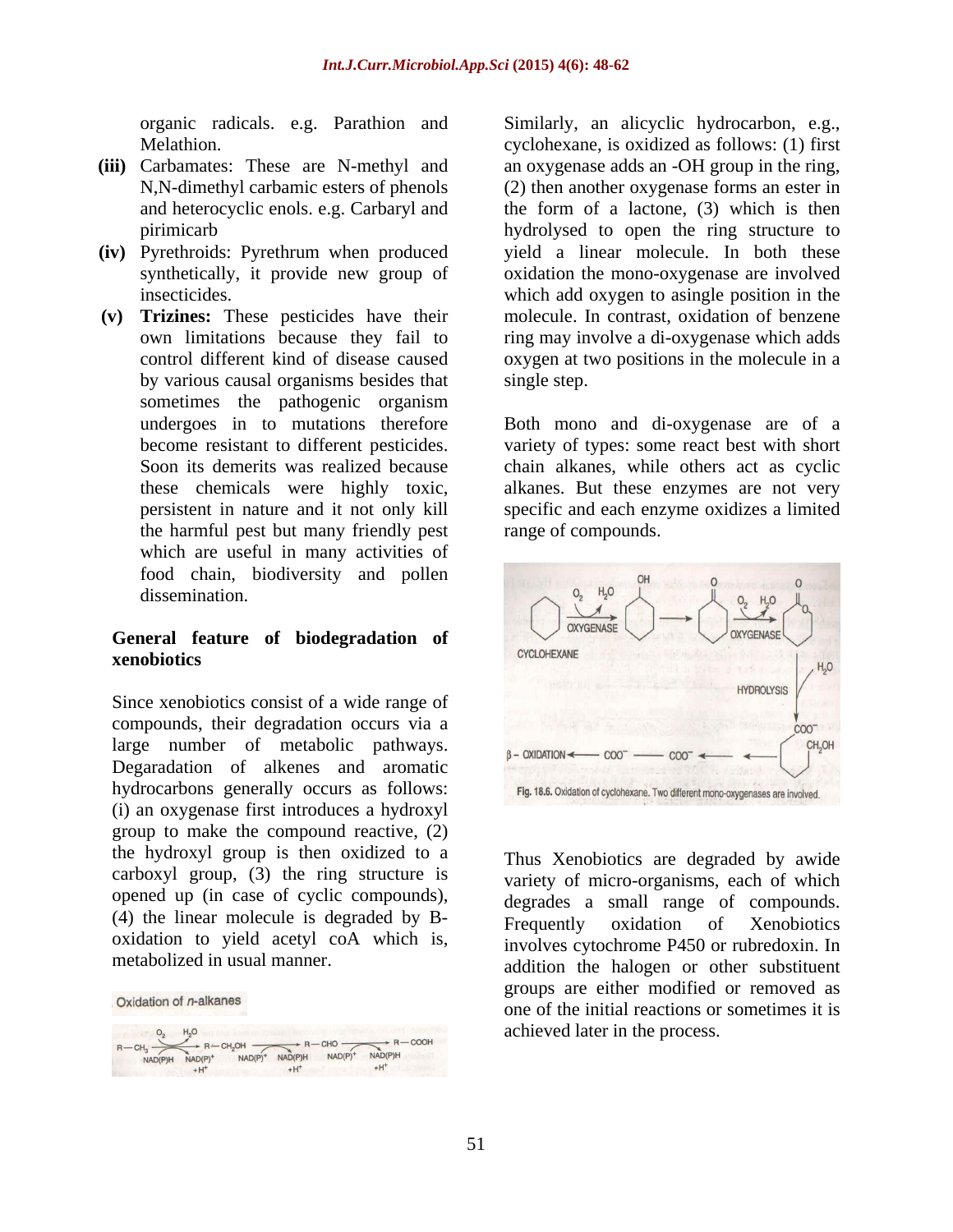- **(iii)** Carbamates: These are N-methyl and
- **(iv)** Pyrethroids: Pyrethrum when produced
- **(v) Trizines:** These pesticides have their by various causal organisms besides that sometimes the pathogenic organism the harmful pest but many friendly pest which are useful in many activities of food chain, biodiversity and pollen

compounds, their degradation occurs via a Degaradation of alkenes and aromatic hydrocarbons generally occurs as follows: Fig. 18.6. Oxidation of cyclohexane. Two different mono-oxygenases are involved. (i) an oxygenase first introduces a hydroxyl group to make the compound reactive, (2) the hydroxyl group is then oxidized to a carboxyl group, (3) the ring structure is opened up (in case of cyclic compounds), (4) the linear molecule is degraded by B oxidation to yield acetyl coA which is, metabolized in usual manner.

| CH <sub>3</sub><br>NAD(P)H | H.O<br>NAD(P)<br>$+H$ <sup>+</sup> | NAD(P) | NAD(P)H<br>$+H$ | NAD(P) | NAD(P)H<br>+H | COOH |
|----------------------------|------------------------------------|--------|-----------------|--------|---------------|------|

Oxidation of n-alkanes

organic radicals. e.g. Parathion and Similarly, an alicyclic hydrocarbon, e.g., Melathion. cyclohexane, is oxidized as follows: (1) first N,N-dimethyl carbamic esters of phenols (2) then another oxygenase forms an ester in and heterocyclic enols. e.g. Carbaryl and the form of a lactone, (3) which is then pirimicarb hydrolysed to open the ring structure to synthetically, it provide new group of oxidation the mono-oxygenase are involved insecticides. which add oxygen to asingle position in the own limitations because they fail to ring may involve a di-oxygenase which adds control different kind of disease caused oxygen at two positions in the molecule in a an oxygenase adds an -OH group in the ring, yield a linear molecule. In both these molecule. In contrast, oxidation of benzene single step.

undergoes in to mutations therefore Both mono and di-oxygenase are of a become resistant to different pesticides. variety of types: some react best with short Soon its demerits was realized because chain alkanes, while others act as cyclic these chemicals were highly toxic, alkanes. But these enzymes are not very persistent in nature and it not only kill specific and each enzyme oxidizesa limited range of compounds.



metabolized in usual manner. addition the halogen or other substituent Thus Xenobiotics are degraded by awide variety of micro-organisms, each of which degrades a small range of compounds. Frequently oxidation of Xenobiotics involves cytochrome P450 or rubredoxin. In groups are either modified or removed as one of the initial reactions or sometimes it is achieved later in the process.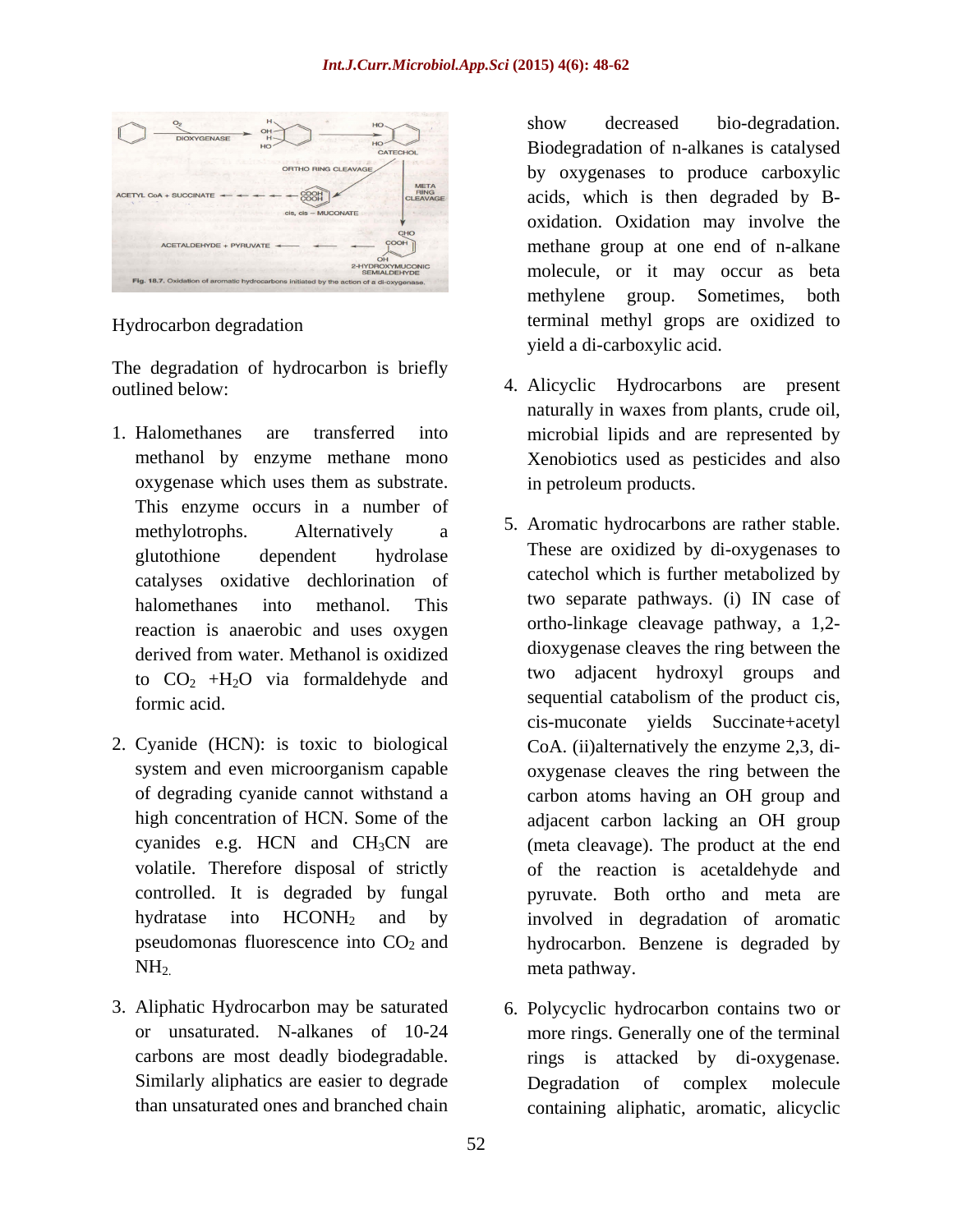

The degradation of hydrocarbon is briefly

- 1. Halomethanes are transferred into microbial lipids and are represented by This enzyme occurs in a number of catalyses oxidative dechlorination of reaction is anaerobic and uses oxygen to  $CO<sub>2</sub> +H<sub>2</sub>O$  via formaldehyde and
- 
- 

Hydrocarbon degradation terminal methyl grops are oxidized to show decreased bio-degradation. Biodegradation of n-alkanes is catalysed by oxygenases to produce carboxylic acids, which is then degraded by B oxidation. Oxidation may involve the methane group at one end of n-alkane molecule, or it may occur as beta methylene group. Sometimes, both yield a di-carboxylic acid.

- outlined below: 4. Alicyclic Hydrocarbons are present methanol by enzyme methane mono Xenobiotics used as pesticides and also oxygenase which uses them as substrate. naturally in waxes from plants, crude oil, in petroleum products.
- methylotrophs. Alternatively a <sup>3.</sup> Aromatic nydrocarbons are rather stable. glutothione dependent hydrolase are oxidized by di-oxygenesis to halomethanes into methanol. This two separate painways. (i) in case of derived from water. Methanol is oxidized allowing discuss the ring between the formic acid. Sequential catabolism of the product cis, 2. Cyanide (HCN): is toxic to biological CoA. (ii)alternatively the enzyme 2,3, di system and even microorganism capable oxygenase cleaves the ring between the of degrading cyanide cannot withstand a carbon atoms having an OH group and high concentration of HCN. Some of the adjacent carbon lacking an OH group cyanides e.g. HCN and CH3CN are (meta cleavage). The product at the end volatile. Therefore disposal of strictly of the reaction is acetaldehyde and controlled. It is degraded by fungal pyruvate. Both ortho and meta are hydratase into HCONH<sub>2</sub> and by involved in degradation of aromatic pseudomonas fluorescence into  $CO<sub>2</sub>$  and hydrocarbon. Benzene is degraded by  $NH<sub>2</sub>$  meta pathway. 5. Aromatic hydrocarbons are rather stable. These are oxidized by di-oxygenases to catechol which is further metabolized by two separate pathways. (i) IN case of ortho-linkage cleavage pathway, a 1,2 dioxygenase cleaves the ring between the two adjacent hydroxyl groups and cis-muconate yields Succinate+acetyl
- 3. Aliphatic Hydrocarbon may be saturated 6. Polycyclic hydrocarbon contains two or or unsaturated. N-alkanes of 10-24 more rings. Generally one of the terminal carbons are most deadly biodegradable. rings is attacked by di-oxygenase. Similarly aliphatics are easier to degrade Degradation of complex molecule than unsaturated ones and branched chain containing aliphatic, aromatic, alicyclicDegradation of complex molecule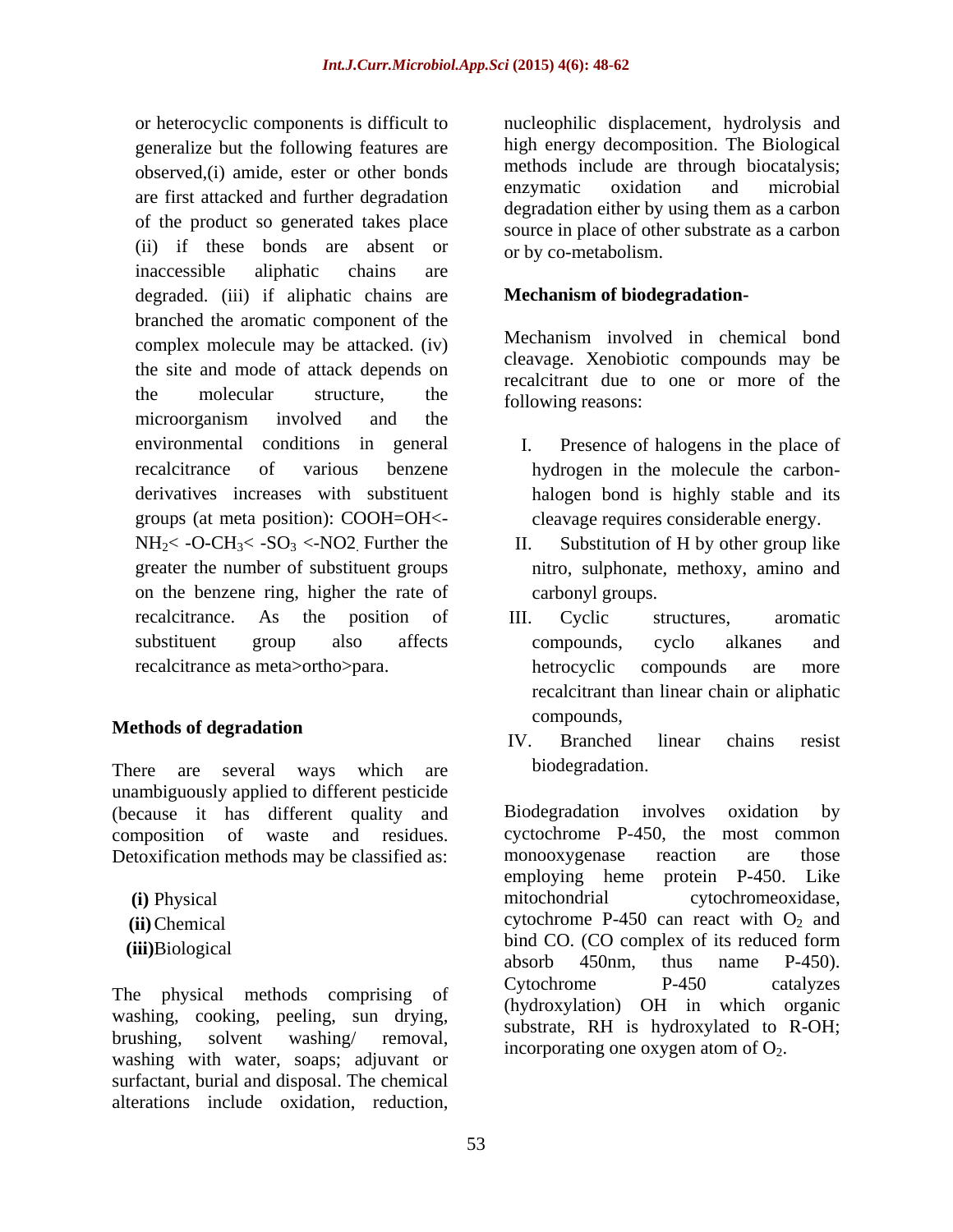generalize but the following features are are first attacked and further degradation of the product so generated takes place (ii) if these bonds are absent or inaccessible aliphatic chains are degraded. (iii) if aliphatic chains are branched the aromatic component of the complex molecule may be attacked. (iv) the site and mode of attack depends on microorganism involved and the environmental conditions in general I. groups (at meta position): COOH=OH< on the benzene ring, higher the rate of

# Methods of degradation and the compounds,

There are several ways which are biodegradation. unambiguously applied to different pesticide (because it has different quality and Biodegradation involves oxidation by Detoxification methods may be classified as: monooxygenase reaction are those

washing, cooking, peeling, sun drying, washing with water, soaps; adjuvant or surfactant, burial and disposal. The chemical alterations include oxidation, reduction,

or heterocyclic components is difficult to nucleophilic displacement, hydrolysis and observed, (i) amide, ester or other bonds<br>enzymatic oxidation and microbial high energy decomposition. The Biological methods include are through biocatalysis; enzymatic oxidation and microbial degradation either by using them as a carbon source in place of other substrate as a carbon or by co-metabolism.

# **Mechanism of biodegradation-**

the molecular structure, the  $f_{\text{allowing reasons}}$ . Mechanism involved in chemical bond cleavage. Xenobiotic compounds may be recalcitrant due to one or more of the following reasons:

- recalcitrance of various benzene hydrogen in the molecule the carbon derivatives increases with substituent halogen bond is highly stable and its Presence of halogens in the place of cleavage requires considerable energy.
- $NH_2$ < -O-CH<sub>3</sub>< -SO<sub>3</sub> <-NO2. Further the II. Substitution of H by other group like greater the number of substituent groups nitro, sulphonate, methoxy, amino and II. Substitution of H by other group like carbonyl groups.
- recalcitrance. As the position of III. Cyclic structures, aromatic substituent group also affects compounds, cyclo alkanes and recalcitrance as meta>ortho>para. III. Cyclic structures, aromatic compounds, cyclo alkanes and hetrocyclic compounds are more recalcitrant than linear chain or aliphatic compounds,
	- IV. Branched linear chains resist biodegradation.

composition of waste and residues. cyctochrome P-450, the most common **(i)** Physical mitochondrial cytochromeoxidase,  $(i)$ Chemical cytochrome P-450 can react with  $O_2$  and (iii)Biological bind CO. (CO complex of its reduced form The physical methods comprising of  $\frac{\text{Cytochrome}}{\text{Cytochrome}}$  P-450 catalyzes brushing, solvent washing/ removal, incorporating one oxygen atom of  $O_2$ . Biodegradation involves monooxygenase reaction are those employing heme protein P-450. Like absorb 450nm, thus name P-450). Cytochrome P-450 catalyzes (hydroxylation) OH in which organic substrate, RH is hydroxylated to R-OH;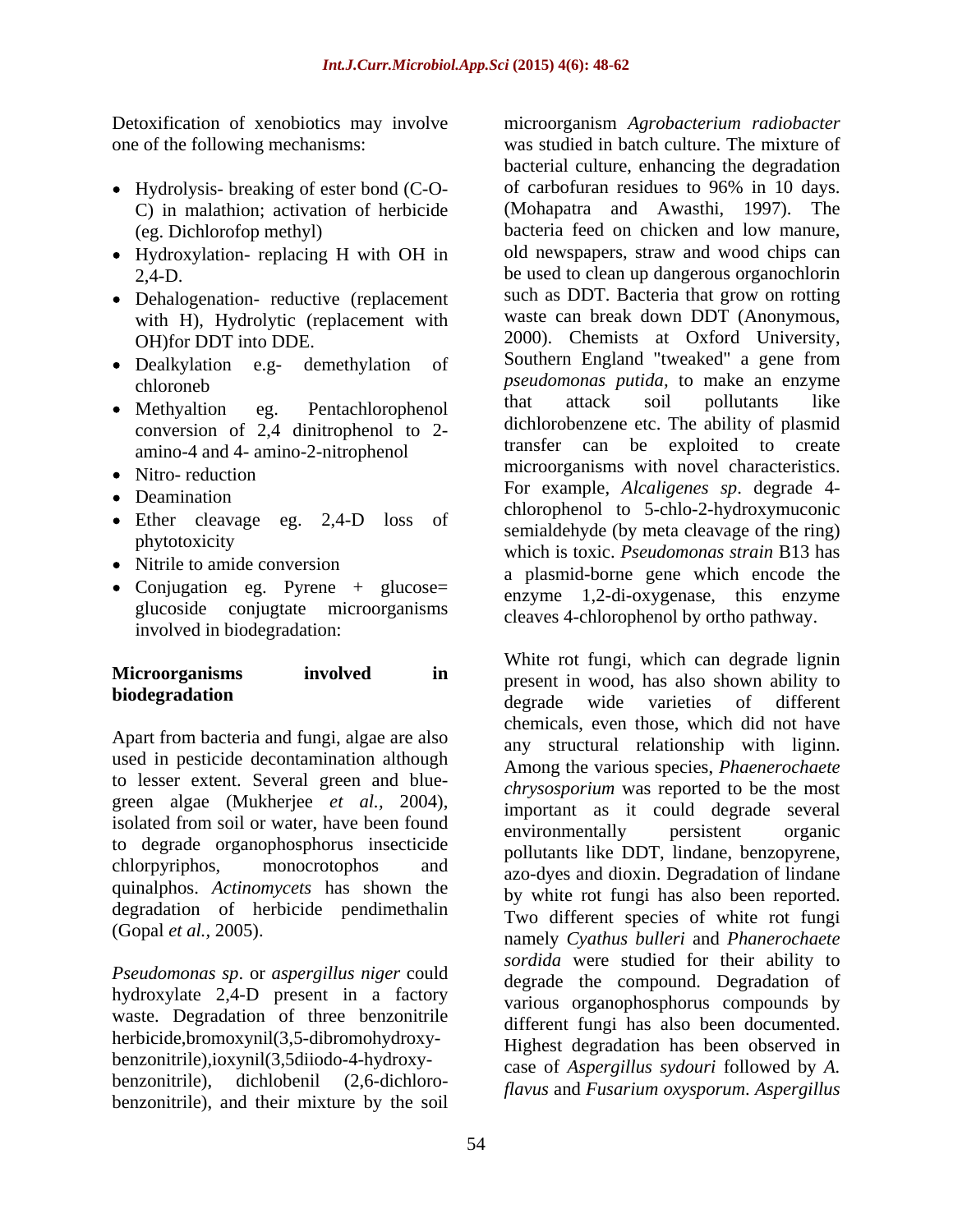- C) in malathion; activation of herbicide
- Hydroxylation- replacing H with OH in
- Dehalogenation- reductive (replacement with H), Hydrolytic (replacement with
- 
- conversion of 2,4 dinitrophenol to 2 amino-4 and 4- amino-2-nitrophenol
- 
- 
- Ether cleavage eg. 2,4-D loss of
- 
- Conjugation eg. Pyrene + glucose= glucoside conjugtate microorganisms involved in biodegradation:

Apart from bacteria and fungi, algae are also used in pesticide decontamination although to lesser extent. Several green and blue green algae (Mukherjee *et al.,* 2004), isolated from soil or water, have been found<br>environmentally bersistent organic to degrade organophosphorus insecticide quinalphos. *Actinomycets* has shown the degradation of herbicide pendimethalin

*Pseudomonas sp*. or *aspergillus niger* could hydroxylate 2,4-D present in a factory waste. Degradation of three benzonitrile herbicide,bromoxynil(3,5-dibromohydroxy benzonitrile),ioxynil(3,5diiodo-4-hydroxy benzonitrile), dichlobenil (2,6-dichloro- *flavus* and *Fusarium oxysporum*. *Aspergillus* benzonitrile), and their mixture by the soil

Detoxification of xenobiotics may involve microorganism *Agrobacterium radiobacter* one of the following mechanisms: was studied in batch culture. The mixture of Hydrolysis- breaking of ester bond (C-O- of carbofuran residues to 96% in 10 days. (eg. Dichlorofop methyl) bacteria feed on chicken and low manure, 2,4-D. be used to clean up dangerous organochlorin OH)for DDT into DDE. 2000). Chemists at Oxford University, Dealkylation e.g- demethylation of Southern England tweaked" a gene from chloroneb *pseudomonas putida,* to make an enzyme Methyaltion eg. Pentachlorophenol that attack soil pollutants like Nitro- reduction and the community of the community of the community of the community of the community of the community of the community of the community of the community of the community of the community of the community Deamination<br>
Chlorophenol to 5-chlo-2-hydroxymuconic<br>
Chlorophenol to 5-chlo-2-hydroxymuconic phytotoxicity<br>which is toxic. *Pseudomonas strain* B13 has Nitrile to amide conversion<br>
a plasmid-borne gene which encode the bacterial culture, enhancing the degradation (Mohapatra and Awasthi, 1997). The old newspapers, straw and wood chips can such as DDT. Bacteria that grow on rotting waste can break down DDT (Anonymous, that attack soil pollutants like dichlorobenzene etc. The ability of plasmid transfer can be exploited to create microorganisms with novel characteristics. For example, *Alcaligenes sp*. degrade 4 semialdehyde (by meta cleavage of the ring) enzyme 1,2-di-oxygenase, this enzyme cleaves 4-chlorophenol by ortho pathway.

**Microorganisms involved in** present in wood, has also shown ability to **biodegradation** chlorpyriphos, monocrotophos and azo-dyes and dioxin. Degradation of lindane (Gopal *et al.,* 2005). namely *Cyathus bulleri* and *Phanerochaete*  White rot fungi, which can degrade lignin degrade wide varieties of different chemicals, even those, which did not have any structural relationship with liginn. Among the various species, *Phaenerochaete chrysosporium* was reported to be the most important as it could degrade several environmentally persistent organic pollutants like DDT, lindane, benzopyrene, by white rot fungi has also been reported. Two different species of white rot fungi *sordida* were studied for their ability to degrade the compound. Degradation of various organophosphorus compounds by different fungi has also been documented. Highest degradation has been observed in case of *Aspergillus sydouri* followed by *A.*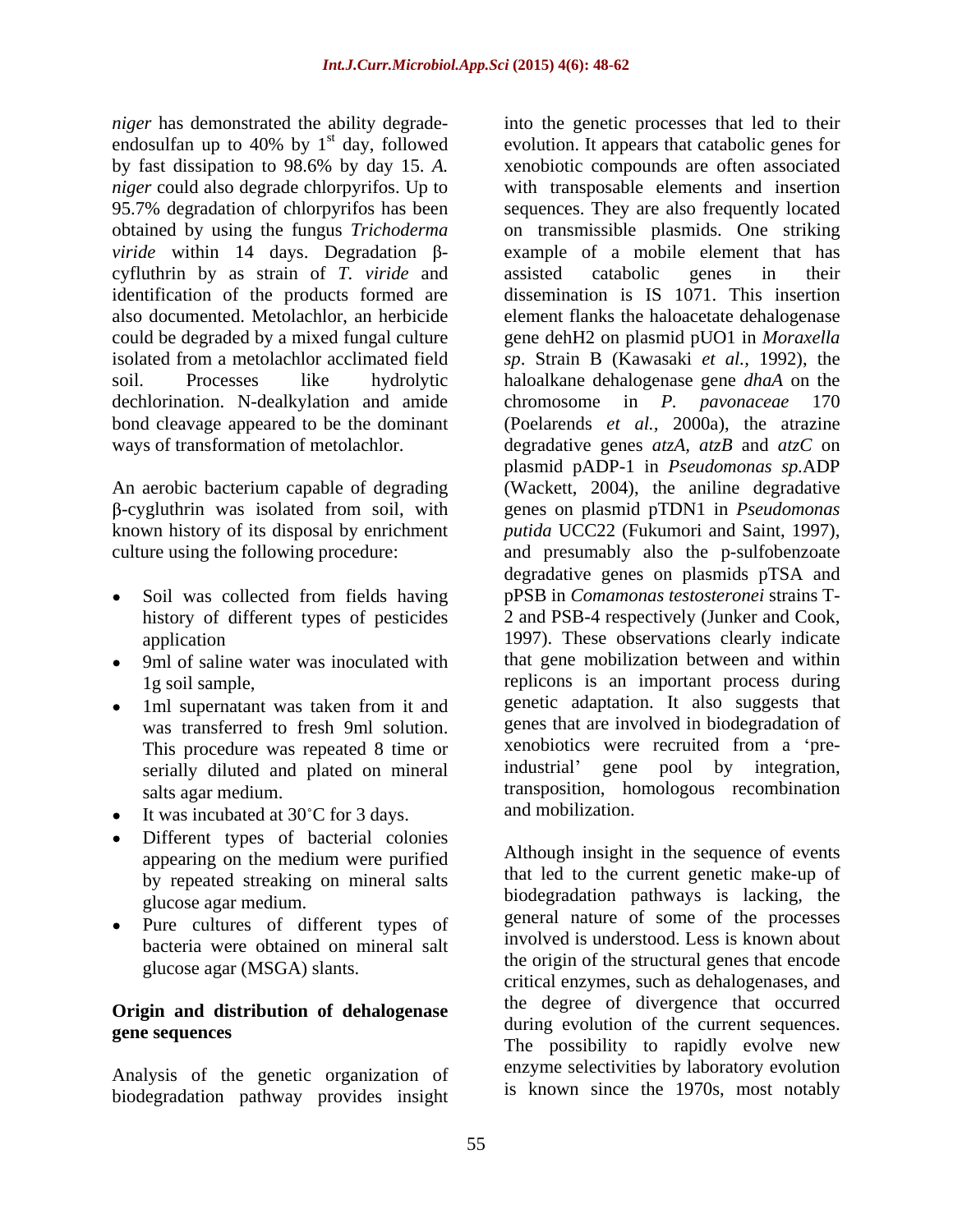*niger* has demonstrated the ability degrade- into the genetic processes that led to their endosulfan up to 40% by  $1<sup>st</sup>$  day, followed by fast dissipation to 98.6% by day 15. *A.* 95.7% degradation of chlorpyrifos has been cyfluthrin by as strain of *T. viride* and identification of the products formed are also documented. Metolachlor, an herbicide dechlorination. N-dealkylation and amide chromosome in P. pavonaceae 170 bond cleavage appeared to be the dominant

- Soil was collected from fields having history of different types of pesticides
- 
- 1ml supernatant was taken from it and This procedure was repeated 8 time or  $\frac{\text{Xenobiotics}}{\text{serial}}$ serially diluted and plated on mineral
- It was incubated at 30°C for 3 days. and mobilization.
- Different types of bacterial colonies by repeated streaking on mineral salts
- Pure cultures of different types of bacteria were obtained on mineral salt glucose agar (MSGA) slants.

# **Origin and distribution of dehalogenase**

Analysis of the genetic organization of biodegradation pathway provides insight

st day, followed evolution. It appears that catabolic genes for *niger* could also degrade chlorpyrifos. Up to with transposable elements and insertion obtained by using the fungus *Trichoderma*  on transmissible plasmids. One striking *viride* within 14 days. Degradation  $\beta$ - example of a mobile element that has could be degraded by a mixed fungal culture gene dehH2 on plasmid pUO1 in *Moraxella*  isolated from a metolachlor acclimated field *sp*. Strain B (Kawasaki *et al.,* 1992), the soil. Processes like hydrolytic haloalkane dehalogenase gene *dhaA* on the ways of transformation of metolachlor. degradative genes *atzA, atzB* and *atzC* on An aerobic bacterium capable of degrading (Wackett, 2004), the aniline degradative -cygluthrin was isolated from soil, with genes on plasmid pTDN1 in *Pseudomonas* known history of its disposal by enrichment *putida* UCC22 (Fukumori and Saint, 1997), culture using the following procedure: and presumably also the p-sulfobenzoate application 1997). These observations clearly indicate 9ml of saline water was inoculated with that gene mobilization between and within 1g soil sample, replicons is an important process during was transferred to fresh 9ml solution. genes that are involved in biodegradation of salts agar medium. transposition, homologous recombination xenobiotic compounds are often associated sequences. They are also frequently located assisted catabolic genes in their dissemination is IS 1071. This insertion element flanks the haloacetate dehalogenase chromosome in *P. pavonaceae* (Poelarends *et al.,* 2000a), the atrazine plasmid pADP-1 in *Pseudomonas sp.*ADP degradative genes on plasmids pTSA and pPSB in *Comamonas testosteronei* strains T- 2 and PSB-4 respectively (Junker and Cook, genetic adaptation. It also suggests that xenobiotics were recruited from a 'pregene pool by integration, and mobilization.

appearing on the medium were purified Although insight in the sequence of events glucose agar medium. biodegradation pathways is lacking, the **gene sequences** during evolution of the current sequences.<br>The possibility to rapidly evolve new Although insight in the sequence of events that led to the current genetic make-up of general nature of some of the processes involved is understood. Less is known about the origin of the structural genes that encode critical enzymes, such as dehalogenases, and the degree of divergence that occurred during evolution of the current sequences.<br>The possibility to rapidly evolve new enzyme selectivities by laboratory evolution is known since the 1970s, most notably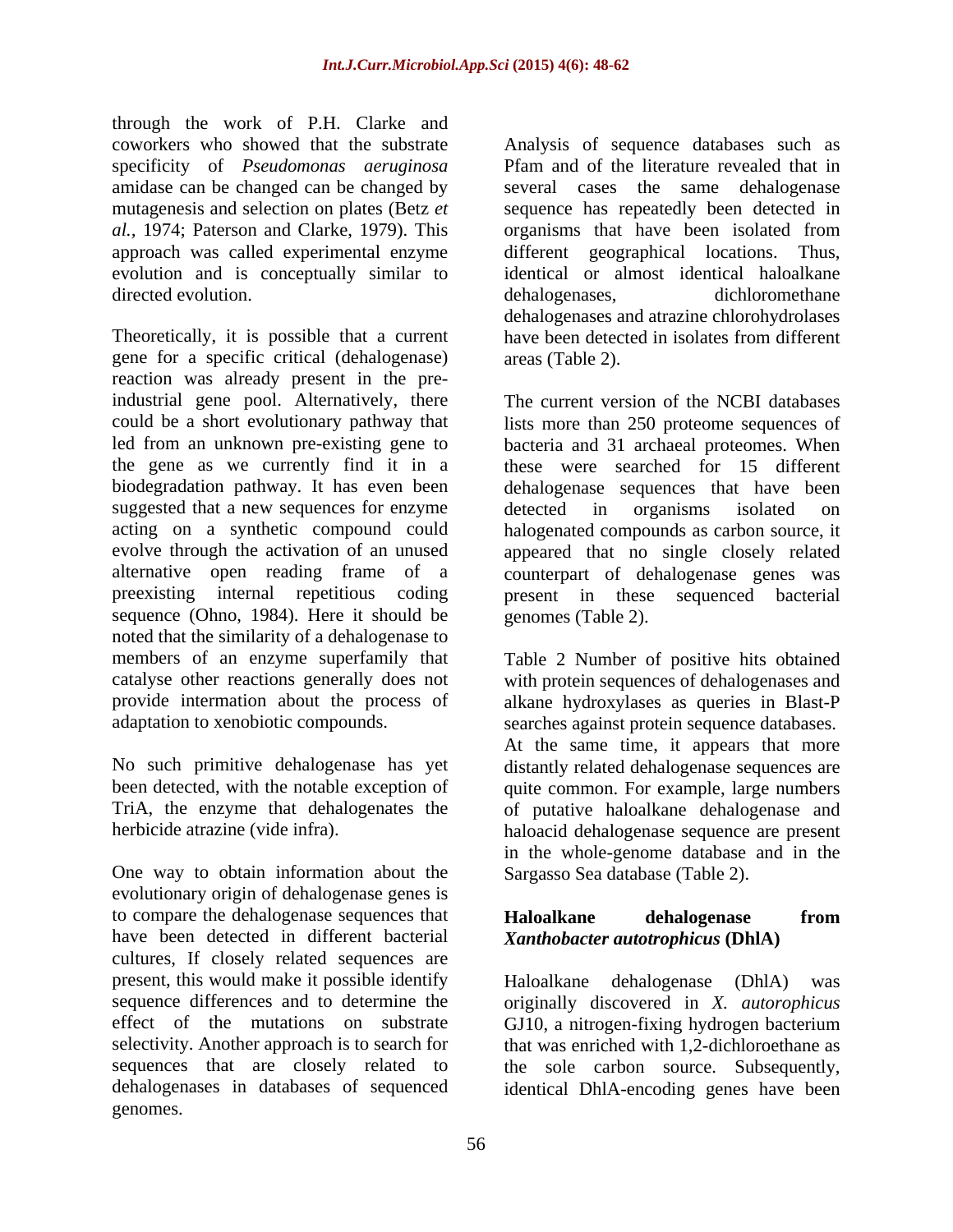through the work of P.H. Clarke and specificity of *Pseudomonas aeruginosa* amidase can be changed can be changed by directed evolution. The same of the development of the dehalogeness of the dehalogeness. The dehalogeness of the definition of the dehalogeness. The dehalogeness of the definition of the definition of the definition of the

Theoretically, it is possible that a current have been detected in isolates from different gene for a specific critical (dehalogenase) reaction was already present in the preindustrial gene pool. Alternatively, there could be a short evolutionary pathway that lists more than 250 proteome sequences of led from an unknown pre-existing gene to bacteria and 31 archaeal proteomes. When the gene as we currently find it in a biodegradation pathway. It has even been dehalogenase sequences that have been suggested that a new sequences for enzyme detected in organisms isolated on acting on a synthetic compound could halogenated compounds as carbon source, it evolve through the activation of an unused appeared that no single closely related alternative open reading frame of a counterpart of dehalogenase genes was preexisting internal repetitious coding present in these sequenced bacterial sequence (Ohno, 1984). Here it should be noted that the similarity of a dehalogenase to members of an enzyme superfamily that Table 2 Number of positive hits obtained catalyse other reactions generally does not with protein sequences of dehalogenases and provide intermation about the process of alkane hydroxylases as queries in Blast-P

One way to obtain information about the evolutionary origin of dehalogenase genes is to compare the dehalogenase sequences that **Haloalkane dehalogenase from** have been detected in different bacterial cultures, If closely related sequences are present, this would make it possible identify a Haloalkane dehalogenese (DhlA) was sequence differences and to determine the originally discovered in *X. autorophicus* effect of the mutations on substrate GJ10, a nitrogen-fixing hydrogen bacterium selectivity. Another approach is to search for that was enriched with 1,2-dichloroethane as sequences that are closely related to the sole carbon source. Subsequently, dehalogenases in databases of sequenced identical DhlA-encoding genes have beengenomes.

coworkers who showed that the substrate Analysis of sequence databases such as mutagenesis and selection on plates (Betz *et*  sequence has repeatedly been detected in *al.,* 1974; Paterson and Clarke, 1979). This organisms that have been isolated from approach was called experimental enzyme different geographical locations. Thus, evolution and is conceptually similar to identical or almost identical haloalkane Pfam and of the literature revealed that in several cases the same dehalogenase dehalogenases, dichloromethane dehalogenases and atrazine chlorohydrolases have been detected in isolates from different areas (Table 2).

> The current version of the NCBI databases these were searched for 15 different detected in organisms isolated on genomes (Table 2).

adaptation to xenobiotic compounds. searches against protein sequence databases. No such primitive dehalogenase has yet distantly related dehalogenase sequences are been detected, with the notable exception of quite common. For example, large numbers TriA, the enzyme that dehalogenates the of putative haloalkane dehalogenase and herbicide atrazine (vide infra). haloacid dehalogenase sequence are present At the same time, it appears that more in the whole-genome database and in the Sargasso Sea database (Table 2).

# **Haloalkane dehalogenase from** *Xanthobacter autotrophicus* **(DhlA)**

Haloalkane dehalogenase (DhlA) was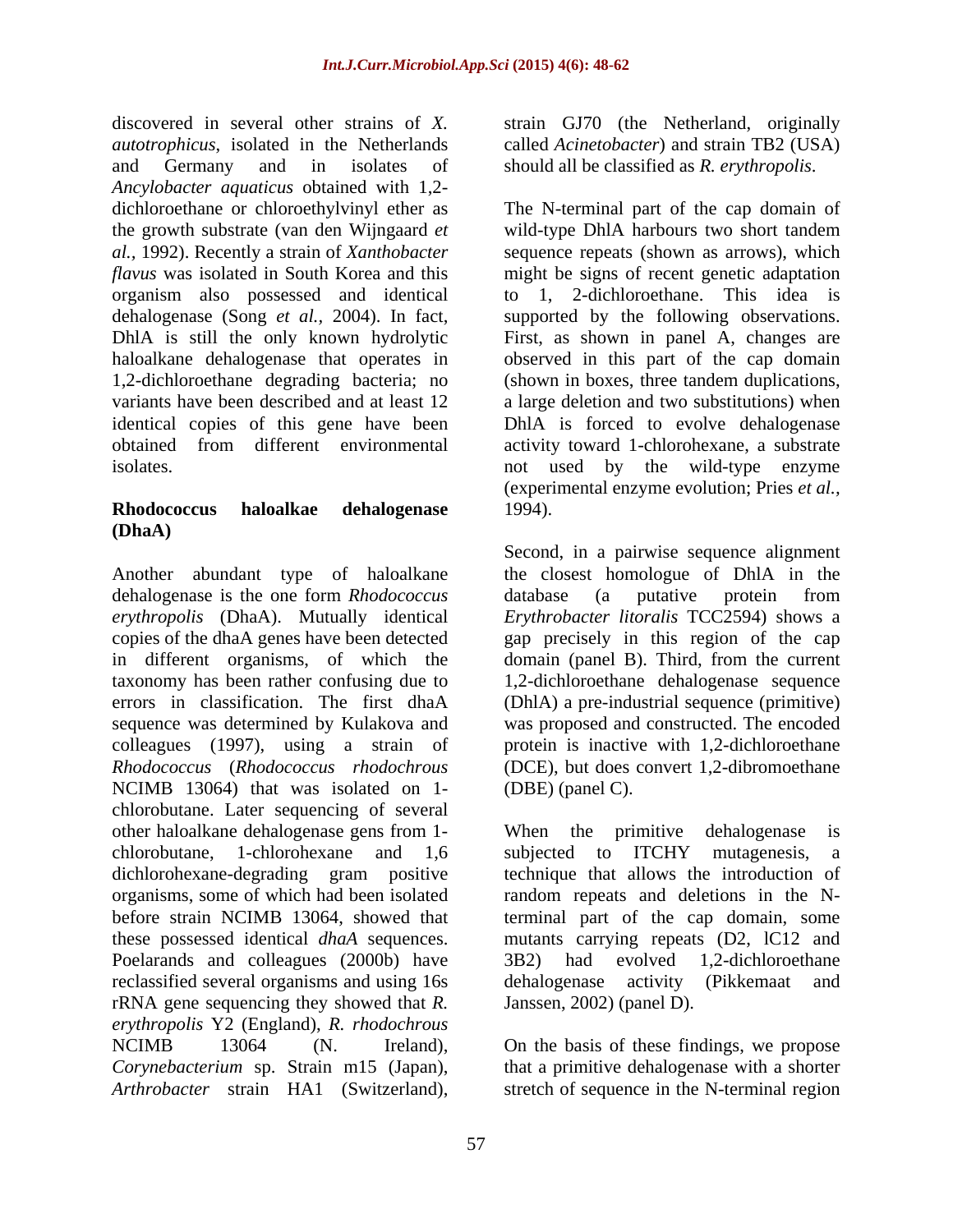discovered in several other strains of *X.* strain GJ70 (the Netherland, originally *autotrophicus*, isolated in the Netherlands called *Acinetobacter*) and strain TB2 (USA) and Germany and in isolates of should all be classified as *R. erythropolis*. *Ancylobacter aquaticus* obtained with 1,2 dichloroethane or chloroethylvinyl ether as The N-terminal part of the cap domain of the growth substrate (van den Wijngaard *et al.,* 1992). Recently a strain of *Xanthobacter*  sequence repeats (shown as arrows), which *flavus* was isolated in South Korea and this might be signs of recent genetic adaptation organism also possessed and identical dehalogenase (Song *et al.,* 2004). In fact, supported by the following observations. DhlA is still the only known hydrolytic First, as shown in panel A, changes are haloalkane dehalogenase that operates in observed in this part of the cap domain 1,2-dichloroethane degrading bacteria; no (shown in boxes, three tandem duplications, variants have been described and at least 12 a large deletion and two substitutions) when identical copies of this gene have been DhlA is forced to evolve dehalogenase obtained from different environmental activity toward 1-chlorohexane, a substrate isolates. The same state of the wild-type enzyme isolates.

# **Rhodococcus haloalkae dehalogenase (DhaA)**

Another abundant type of haloalkane dehalogenase is the one form *Rhodococcus*  NCIMB 13064) that was isolated on 1 chlorobutane. Later sequencing of several other haloalkane dehalogenase gens from 1- Poelarands and colleagues (2000b) have 3B2) had evolved 1,2-dichloroethane reclassified several organisms and using 16s rRNA gene sequencing they showed that *R. erythropolis* Y2 (England), *R. rhodochrous* NCIMB 13064 (N. Ireland), On the basis of these findings, we propose *Corynebacterium* sp. Strain m15 (Japan), *Arthrobacter* strain HA1 (Switzerland), stretch of sequence in the N-terminal region

wild-type DhlA harbours two short tandem to 1, 2-dichloroethane. This idea is (experimental enzyme evolution; Pries *et al.,* 1994).

*erythropolis* (DhaA). Mutually identical *Erythrobacter litoralis* TCC2594) shows a copies of the dhaA genes have been detected gap precisely in this region of the cap in different organisms, of which the domain (panel B). Third, from the current taxonomy has been rather confusing due to 1,2-dichloroethane dehalogenase sequence errors in classification. The first dhaA (DhlA) a pre-industrial sequence (primitive) sequence was determined by Kulakova and was proposed and constructed. The encoded colleagues (1997), using a strain of protein is inactive with 1,2-dichloroethane *Rhodococcus* (*Rhodococcus rhodochrous* (DCE), but does convert 1,2-dibromoethane Second, in a pairwise sequence alignment the closest homologue of DhlA in the database (a putative protein from (DBE) (panel C).

chlorobutane, 1-chlorohexane and 1,6 dichlorohexane-degrading gram positive technique that allows the introduction of organisms, some of which had been isolated random repeats and deletions in the Nbefore strain NCIMB 13064, showed that terminal part of the cap domain, some these possessed identical *dhaA* sequences. mutants carrying repeats (D2, lC12 and When the primitive dehalogenase is subjected to ITCHY mutagenesis, a 3B2) had evolved 1,2-dichloroethane dehalogenase activity (Pikkemaat and Janssen, 2002) (panel D).

that a primitive dehalogenase with a shorter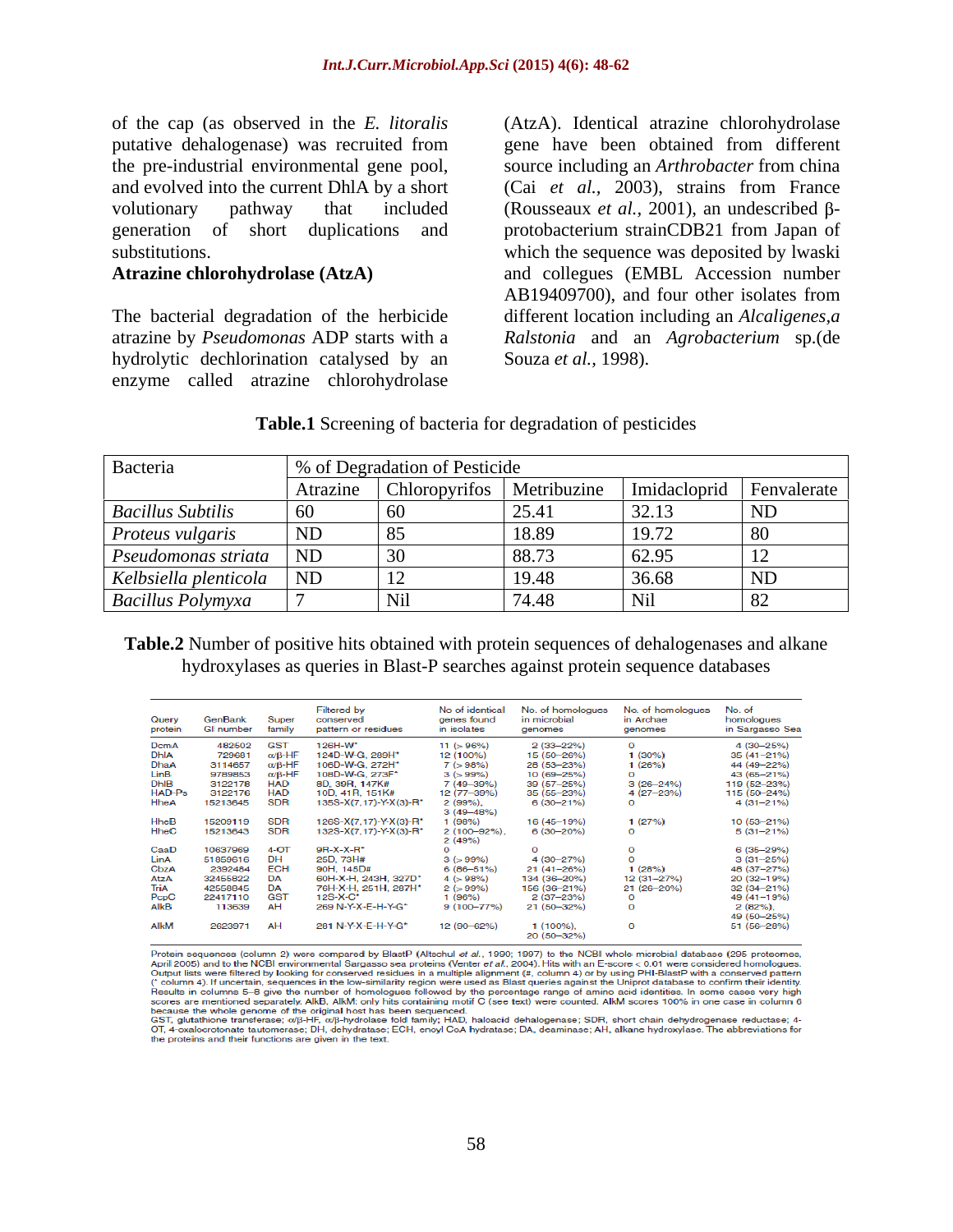of the cap (as observed in the *E. litoralis* (AtzA). Identical atrazine chlorohydrolase putative dehalogenase) was recruited from gene have been obtained from different the pre-industrial environmental gene pool, source including an *Arthrobacter* from china<br>and evolved into the current DhlA by a short (Cai *et al.*, 2003), strains from France volutionary pathway that included (Rousseaux *et al.*, 2001), an undescribed  $\beta$ generation of short duplications and protobacterium strainCDB21 from Japan of

hydrolytic dechlorination catalysed by an enzyme called atrazine chlorohydrolase

substitutions. which the sequence was deposited by lwaski **Atrazine chlorohydrolase (AtzA)** and collegues (EMBL Accession number The bacterial degradation of the herbicide different location including an *Alcaligenes,a*  atrazine by *Pseudomonas* ADP starts with a *Ralstonia* and an *Agrobacterium* sp.(de source including an *Arthrobacter* from china (Cai *et al.,* 2003), strains from France AB19409700), and four other isolates from Souza *et al.,* 1998).

### **Table.1** Screening of bacteria for degradation of pesticides

| Bacteria                   | \% of Degradation of Pesticide |                                                                     |                                                            |       |           |
|----------------------------|--------------------------------|---------------------------------------------------------------------|------------------------------------------------------------|-------|-----------|
|                            |                                | Atrazine   Chloropyrifos   Metribuzine   Imidacloprid   Fenvalerate |                                                            |       |           |
| <b>Bacillus Subtilis</b>   |                                |                                                                     | $\bigcap$ $\subset$ $\bigcap$ $\subset$ $\bigcap$<br>2J.4' | 2212  | ND        |
| <i>Proteus vulgaris</i>    | $\overline{\mathsf{ND}}$       |                                                                     | 18.89                                                      |       |           |
| <i>Pseudomonas striata</i> | ND                             |                                                                     | 00.72<br>88.73                                             | 62.95 |           |
| Kelbsiella plenticola      | $\overline{\phantom{a}}$ ND    |                                                                     | 10.49                                                      | 36.68 | <b>ND</b> |
| <b>Bacillus Polymyxa</b>   |                                |                                                                     | 71 IO                                                      |       |           |

### **Table.2** Number of positive hits obtained with protein sequences of dehalogenases and alkane hydroxylases as queries in Blast-P searches against protein sequence databases

| Query<br>protein | GenBank<br><b>GI</b> number | Super<br>family        | <b>Filtered by</b><br>conserved<br>pattern or residues | No of identical<br>genes found<br>in isolates | No. of homologues<br>in microbial<br>genomes | No. of homologues<br>in Archae<br>genomes | No. of<br>homologues<br>in Sargasso Sea |
|------------------|-----------------------------|------------------------|--------------------------------------------------------|-----------------------------------------------|----------------------------------------------|-------------------------------------------|-----------------------------------------|
| DcmA             | 482502                      | <b>GST</b>             | 126H-W*                                                | 11 (> 96%)                                    | $2(33 - 22%)$                                | $\Omega$                                  | 4 (30-25%)                              |
| <b>DhIA</b>      | 729681                      | $\alpha$ /B-HF         | 124D-W-G, 289H*                                        | 12 (100%)                                     | 15 (50-26%)                                  | $1(30\%)$                                 | 35 (41-21%)                             |
| DhaA             | 3114657                     | $\alpha$ / $\beta$ -HF | 106D-W-G. 272H*                                        | $7( > 98\%)$                                  | 28 (53-23%)                                  | 1(26%)                                    | 44 (49-22%)                             |
| <b>LinB</b>      | 9789853                     | $\alpha$ / $\beta$ -HF | 108D-W-G, 273F*                                        | $3( > 99\%)$                                  | 10 (69-25%)                                  | $\Omega$                                  | 43 (65-21%)                             |
| <b>DhIB</b>      | 3122178                     | <b>HAD</b>             | 8D, 39R, 147K#                                         | 7 (49-39%)                                    | 39 (57-25%)                                  | $3(26 - 24%)$                             | 119 (52-23%)                            |
| HAD-Ps           | 3122176                     | <b>HAD</b>             | 10D, 41R, 151K#                                        | 12 (77-39%)                                   | 35 (55-23%)                                  | 4 (27-23%)                                | 115 (50-24%)                            |
| <b>HheA</b>      | 15213645                    | <b>SDR</b>             | 135S-X(7.17)-Y-X(3)-R*                                 | 2(99%).<br>$3(49 - 48\%)$                     | $6(30-21%)$                                  | $\circ$                                   | $4(31 - 21\%)$                          |
| <b>HheB</b>      | 15209119                    | <b>SDR</b>             | 126S-X(7.17)-Y-X(3)-R*                                 | 1 (98%)                                       | 16 (45-19%)                                  | 1(27%)                                    | 10 (53-21%)                             |
| <b>HheC</b>      | 15213643                    | <b>SDR</b>             | 132S-X(7,17)-Y-X(3)-R*                                 | $2(100-92\%)$ .<br>2(49%)                     | $6(30-20%)$                                  | $\Omega$                                  | $5(31 - 21\%)$                          |
| CaaD             | 10637969                    | $4-OT$                 | $9R-X-X-R^*$                                           | Ω                                             | $\Omega$                                     | $\circ$                                   | $6(35-29%)$                             |
| LinA             | 51859616                    | <b>DH</b>              | 25D, 73H#                                              | $3(5.99\%)$                                   | 4 (30-27%)                                   | $\Omega$                                  | $3(31 - 25%)$                           |
| CbzA             | 2392484                     | <b>ECH</b>             | 90H, 145D#                                             | $6(86 - 51%)$                                 | $21(41 - 26%)$                               | 1(28%)                                    | 48 (37-27%)                             |
| AtzA             | 32455822                    | <b>DA</b>              | 60H-X-H, 243H, 327D*                                   | $4( > 98\%)$                                  | 134 (36-20%)                                 | 12 (31-27%)                               | 20 (32-19%)                             |
| TriA             | 42558845                    | <b>DA</b>              | 76H-X-H, 251H, 287H*                                   | $2( > 99\%)$                                  | 156 (36-21%)                                 | $21(26 - 20\%)$                           | 32 (34-21%)                             |
| PcpC             | 22417110                    | <b>GST</b>             | $12S-X-C$                                              | 1 (96%)                                       | $2(37-23%)$                                  | $\circ$                                   | 49 (41-19%)                             |
| AlkB             | 113639                      | AH                     | 269 N-Y-X-E-H-Y-G*                                     | $9(100 - 77\%)$                               | 21 (50-32%)                                  | $\Omega$                                  | 2(82%)                                  |
|                  |                             |                        |                                                        |                                               |                                              |                                           | 49 (50-25%)                             |
| AlkM             | 2623971                     | AH                     | 281 N-Y-X-E-H-Y-G*                                     | 12 (90-62%)                                   | $1(100\%)$<br>20 (50-32%)                    | $\circ$                                   | 51 (56-28%)                             |
|                  |                             |                        |                                                        |                                               |                                              |                                           |                                         |

Protein sequences (column 2) were compared by BlastP (Altschul et al., 1990; 1997) to the NCBI whole microbial database (295 proteomes, April 2005) and to the NCBI environmental Sargasso sea proteins (Venter et al., 2004). Hits with an E-score < 0.01 were considered homologues.<br>Output lists were filtered by looking for conserved residues in a multiple alig The sealth is columns 5–8 give the number of homologues followed by the percentage range of amino acid identities. In some cases very high<br>scores are mentioned separately. AlkB, AlkM: only hits containing motif C (see text

scores are intentioned separations. Although the original host has been sequenced.<br>
As the cause the whole genome of the original host has been sequenced.<br>
GST, glutathione transferase; collecting the original host has bee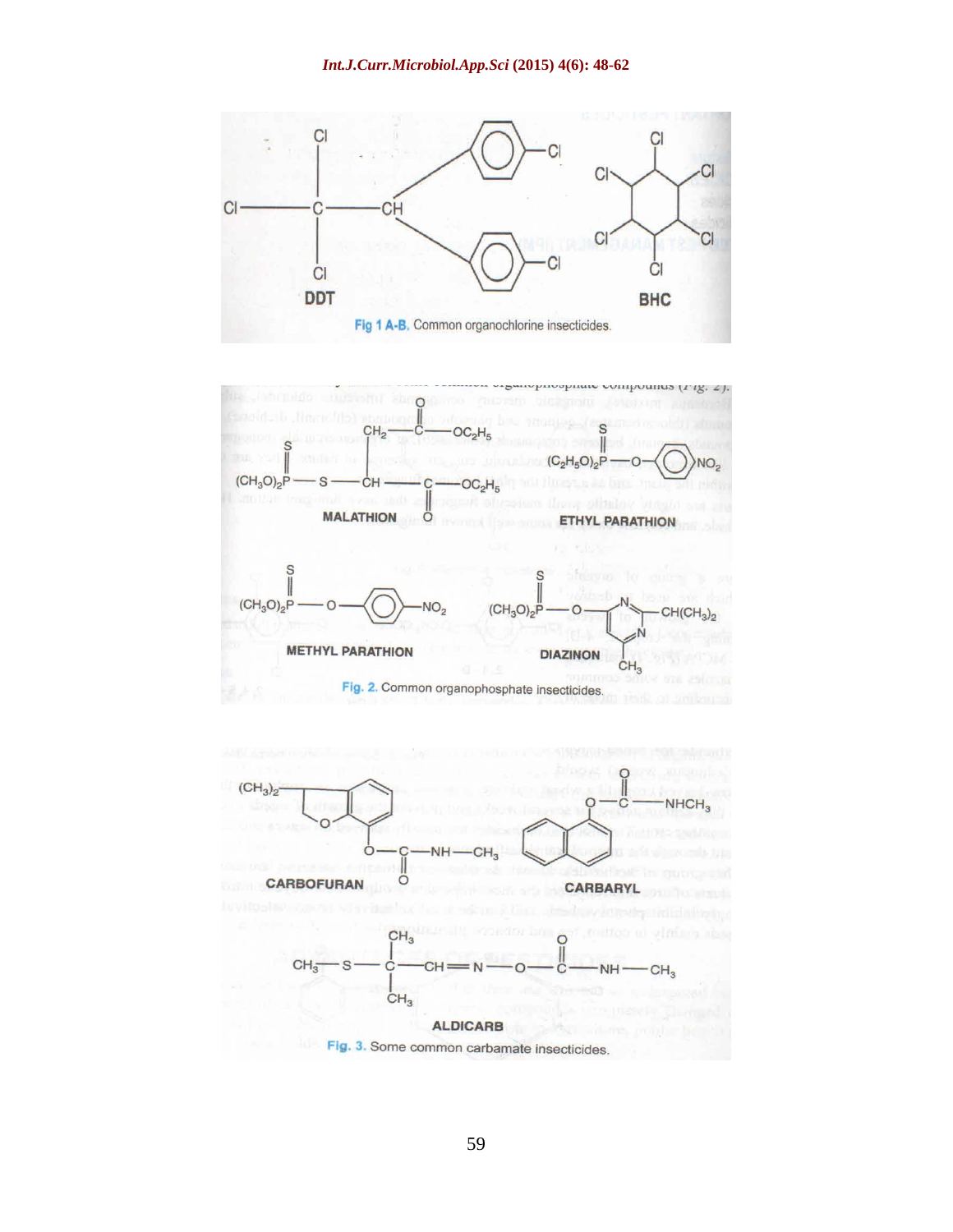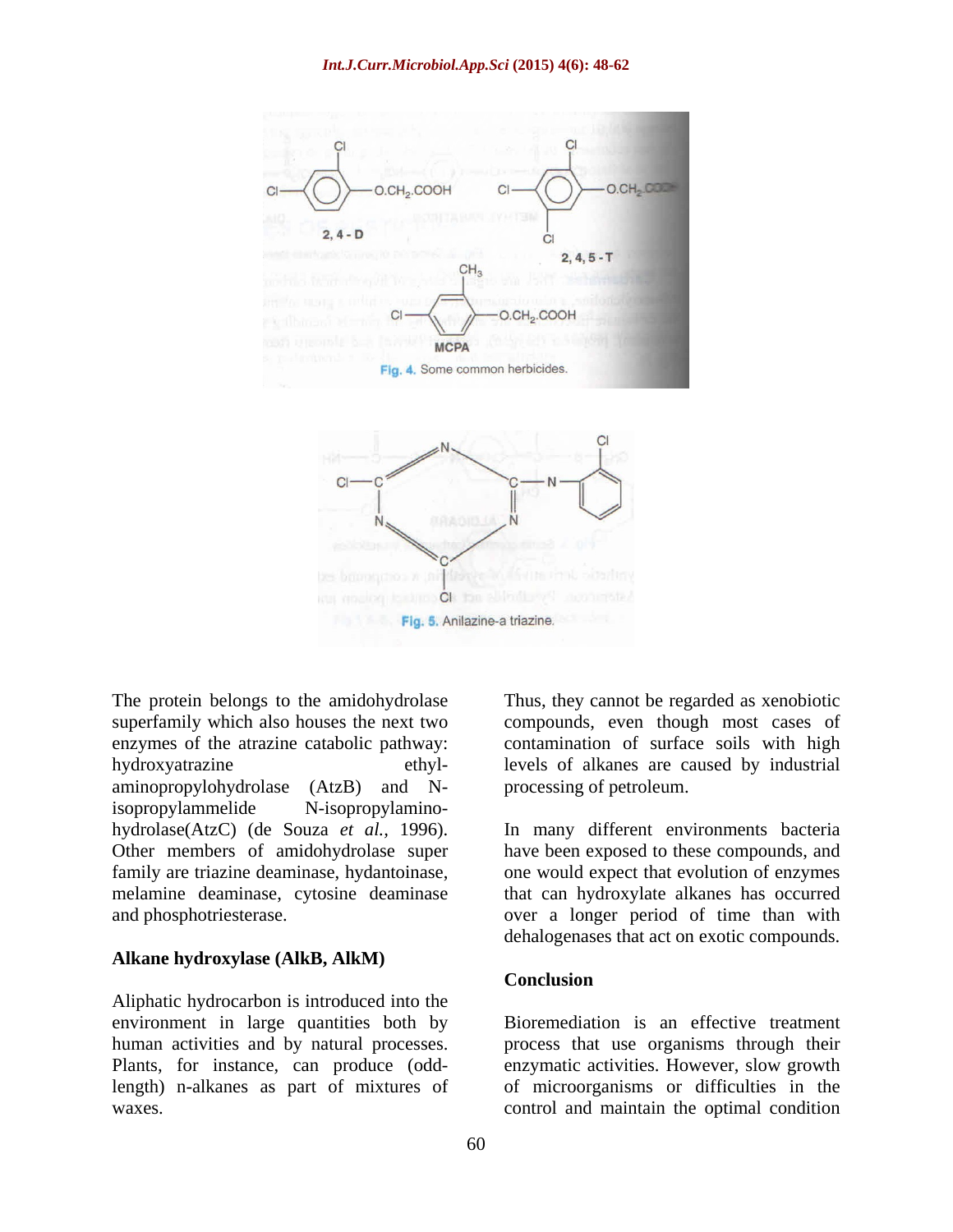

superfamily which also houses the next two compounds, even though most cases of enzymes of the atrazine catabolic pathway: contamination of surface soils with high hydroxyatrazine ethyl- levels of alkanes are caused by industrial aminopropylohydrolase (AtzB) and Nisopropylammelide N-isopropylamino melamine deaminase, cytosine deaminase

### **Alkane hydroxylase (AlkB, AlkM)**

Aliphatic hydrocarbon is introduced into the environment in large quantities both by human activities and by natural processes. process that use organisms through their Plants, for instance, can produce (odd-enzymatic activities. However, slow growth length) n-alkanes as part of mixtures of of microorganisms or difficulties in the waxes. control and maintain the optimal condition

The protein belongs to the amidohydrolase Thus, they cannot be regarded as xenobiotic processing of petroleum.

hydrolase(AtzC) (de Souza *et al.,* 1996). In many different environments bacteria Other members of amidohydrolase super have been exposed to these compounds, and family are triazine deaminase, hydantoinase, one would expect that evolution of enzymes and phosphotriesterase. over a longer period of time than with that can hydroxylate alkanes has occurred dehalogenases that act on exotic compounds.

### **Conclusion**

Bioremediation is an effective treatment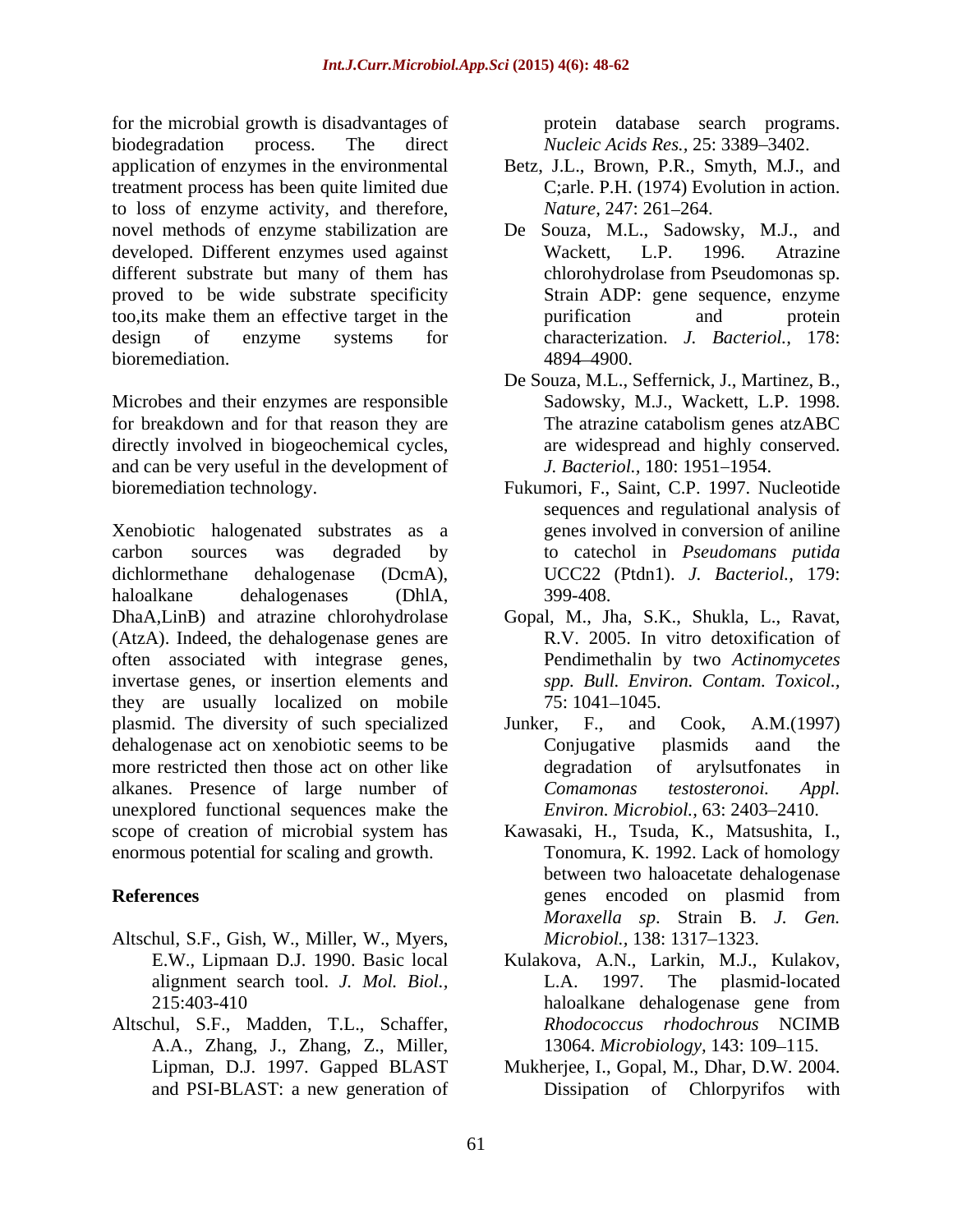for the microbial growth is disadvantages of biodegradation process. The direct *Nucleic Acids Res.*, 25: 3389–3402. application of enzymes in the environmental Betz, J.L., Brown, P.R., Smyth, M.J., and treatment process has been quite limited due to loss of enzyme activity, and therefore, novel methods of enzyme stabilization are De Souza, M.L., Sadowsky, M.J., and developed. Different enzymes used against Wackett, L.P. 1996. Atrazine different substrate but many of them has chlorohydrolase from Pseudomonas sp. proved to be wide substrate specificity too,its make them an effective target in the design of enzyme systems for characterization. *J. Bacteriol.,* 178: bioremediation.  $4894-4900$ .

Microbes and their enzymes are responsible for breakdown and for that reason they are The atrazine catabolism genes atzABC directly involved in biogeochemical cycles, and can be very useful in the development of

Xenobiotic halogenated substrates as a carbon sources was degraded by to catechol in *Pseudomans putida* dichlormethane dehalogenase (DcmA), UCC22 (Ptdn1). *J. Bacteriol.,* 179: haloalkane dehalogenases (DhlA, DhaA,LinB) and atrazine chlorohydrolase Gopal, M., Jha, S.K., Shukla, L., Ravat, (AtzA). Indeed, the dehalogenase genes are often associated with integrase genes, invertase genes, or insertion elements and they are usually localized on mobile  $75:1041-1045$ . plasmid. The diversity of such specialized dehalogenase act on xenobiotic seems to be Conjugative plasmids aand the more restricted then those act on other like degradation of arylsutfonates in alkanes. Presence of large number of Comamonas testosteronoi. Appl. unexplored functional sequences make the scope of creation of microbial system has enormous potential for scaling and growth.

- Altschul, S.F., Gish, W., Miller, W., Myers,
- Altschul, S.F., Madden, T.L., Schaffer, A.A., Zhang, J., Zhang, Z., Miller,

protein database search programs.

- C;arle. P.H. (1974) Evolution in action. *Nature,* 247: 261–264.
- Wackett, L.P. 1996. Atrazine chlorohydrolase from Pseudomonas sp. Strain ADP: gene sequence, enzyme purification and protein 4894 4900.
- De Souza, M.L., Seffernick, J., Martinez, B., Sadowsky, M.J., Wackett, L.P. 1998. The atrazine catabolism genes atzABC are widespread and highly conserved. *J. Bacteriol.,* 180: 1951-1954.
- bioremediation technology. Fukumori, F., Saint, C.P. 1997. Nucleotide sequences and regulational analysis of genes involved in conversion of aniline 399-408.
	- R.V. 2005. In vitro detoxification of Pendimethalin by two *Actinomycetes spp. Bull. Environ. Contam. Toxicol.,* 75: 1041 1045.
	- Junker, F., and Cook, A.M.(1997) Conjugative plasmids aand the degradation of arylsutfonates in *Comamonas testosteronoi. Appl. Environ. Microbiol.,* 63: 2403–2410.
- **References** genes encoded on plasmid from Kawasaki, H., Tsuda, K., Matsushita, I., Tonomura, K. 1992. Lack of homology between two haloacetate dehalogenase genes encoded on plasmid from *Moraxella sp*. Strain B. *J. Gen. Microbiol.,* 138: 1317–1323.
	- E.W., Lipmaan D.J. 1990. Basic local Kulakova, A.N., Larkin, M.J., Kulakov, alignment search tool. *J. Mol. Biol.,* 215:403-410 haloalkane dehalogenase gene from L.A. 1997. The plasmid-located haloalkane dehalogenase gene from *Rhodococcus rhodochrous* NCIMB 13064. *Microbiology*, 143: 109–115.
	- Lipman, D.J. 1997. Gapped BLAST Mukherjee, I., Gopal, M., Dhar, D.W. 2004. and PSI-BLAST: a new generation of Dissipation of Chlorpyrifos with Dissipation of Chlorpyrifos with